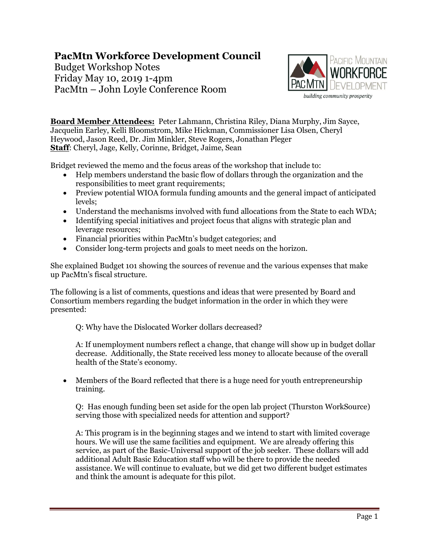## **PacMtn Workforce Development Council**

Budget Workshop Notes Friday May 10, 2019 1-4pm PacMtn – John Loyle Conference Room



**Board Member Attendees:** Peter Lahmann, Christina Riley, Diana Murphy, Jim Sayce, Jacquelin Earley, Kelli Bloomstrom, Mike Hickman, Commissioner Lisa Olsen, Cheryl Heywood, Jason Reed, Dr. Jim Minkler, Steve Rogers, Jonathan Pleger **Staff**: Cheryl, Jage, Kelly, Corinne, Bridget, Jaime, Sean

Bridget reviewed the memo and the focus areas of the workshop that include to:

- Help members understand the basic flow of dollars through the organization and the responsibilities to meet grant requirements;
- Preview potential WIOA formula funding amounts and the general impact of anticipated levels;
- Understand the mechanisms involved with fund allocations from the State to each WDA;
- Identifying special initiatives and project focus that aligns with strategic plan and leverage resources;
- Financial priorities within PacMtn's budget categories; and
- Consider long-term projects and goals to meet needs on the horizon.

She explained Budget 101 showing the sources of revenue and the various expenses that make up PacMtn's fiscal structure.

The following is a list of comments, questions and ideas that were presented by Board and Consortium members regarding the budget information in the order in which they were presented:

Q: Why have the Dislocated Worker dollars decreased?

A: If unemployment numbers reflect a change, that change will show up in budget dollar decrease. Additionally, the State received less money to allocate because of the overall health of the State's economy.

 Members of the Board reflected that there is a huge need for youth entrepreneurship training.

Q: Has enough funding been set aside for the open lab project (Thurston WorkSource) serving those with specialized needs for attention and support?

A: This program is in the beginning stages and we intend to start with limited coverage hours. We will use the same facilities and equipment. We are already offering this service, as part of the Basic-Universal support of the job seeker. These dollars will add additional Adult Basic Education staff who will be there to provide the needed assistance. We will continue to evaluate, but we did get two different budget estimates and think the amount is adequate for this pilot.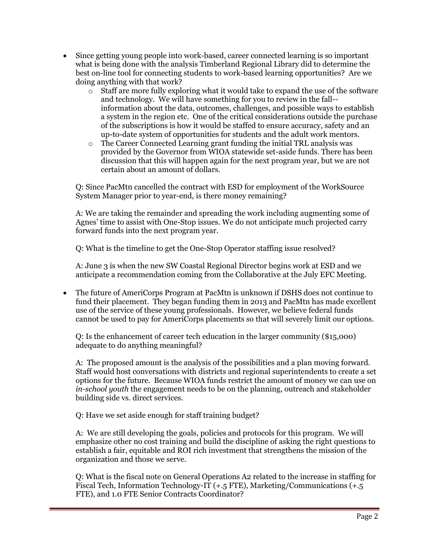- Since getting young people into work-based, career connected learning is so important what is being done with the analysis Timberland Regional Library did to determine the best on-line tool for connecting students to work-based learning opportunities? Are we doing anything with that work?
	- $\circ$  Staff are more fully exploring what it would take to expand the use of the software and technology. We will have something for you to review in the fall- information about the data, outcomes, challenges, and possible ways to establish a system in the region etc. One of the critical considerations outside the purchase of the subscriptions is how it would be staffed to ensure accuracy, safety and an up-to-date system of opportunities for students and the adult work mentors.
	- $\circ$  The Career Connected Learning grant funding the initial TRL analysis was provided by the Governor from WIOA statewide set-aside funds. There has been discussion that this will happen again for the next program year, but we are not certain about an amount of dollars.

Q: Since PacMtn cancelled the contract with ESD for employment of the WorkSource System Manager prior to year-end, is there money remaining?

A: We are taking the remainder and spreading the work including augmenting some of Agnes' time to assist with One-Stop issues. We do not anticipate much projected carry forward funds into the next program year.

Q: What is the timeline to get the One-Stop Operator staffing issue resolved?

A: June 3 is when the new SW Coastal Regional Director begins work at ESD and we anticipate a recommendation coming from the Collaborative at the July EFC Meeting.

 The future of AmeriCorps Program at PacMtn is unknown if DSHS does not continue to fund their placement. They began funding them in 2013 and PacMtn has made excellent use of the service of these young professionals. However, we believe federal funds cannot be used to pay for AmeriCorps placements so that will severely limit our options.

Q: Is the enhancement of career tech education in the larger community (\$15,000) adequate to do anything meaningful?

A: The proposed amount is the analysis of the possibilities and a plan moving forward. Staff would host conversations with districts and regional superintendents to create a set options for the future. Because WIOA funds restrict the amount of money we can use on *in-school youth* the engagement needs to be on the planning, outreach and stakeholder building side vs. direct services.

Q: Have we set aside enough for staff training budget?

A: We are still developing the goals, policies and protocols for this program. We will emphasize other no cost training and build the discipline of asking the right questions to establish a fair, equitable and ROI rich investment that strengthens the mission of the organization and those we serve.

Q: What is the fiscal note on General Operations A2 related to the increase in staffing for Fiscal Tech, Information Technology-IT  $(+.5$  FTE), Marketing/Communications  $(+.5$ FTE), and 1.0 FTE Senior Contracts Coordinator?